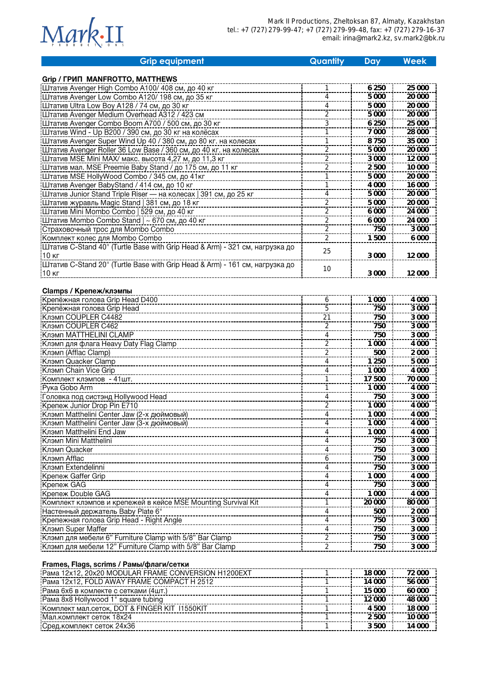

| <b>Grip equipment</b>                                                       | Quantity                         | Day     | <b>Week</b> |
|-----------------------------------------------------------------------------|----------------------------------|---------|-------------|
|                                                                             |                                  |         |             |
| Grip / ГРИП MANFROTTO, MATTHEWS                                             |                                  |         |             |
| Штатив Avenger High Combo A100/408 см, до 40 кг                             |                                  | 6 2 5 0 | 25 000      |
| Штатив Avenger Low Combo A120/198 см, до 35 кг                              | 4                                | 5 0 0 0 | 20 000      |
| Штатив Ultra Low Boy A128 / 74 см, до 30 кг                                 | 4                                | 5 0 0 0 | 20 000      |
| Штатив Avenger Medium Overhead A312 / 423 см                                | 2                                | 5 0 0 0 | 20 000      |
| Штатив Avenger Combo Boom A700 / 500 см, до 30 кг                           | 3                                | 6 2 5 0 | 25 000      |
| Штатив Wind - Up B200 / 390 см, до 30 кг на колёсах                         |                                  | 7 0 0 0 | 28 000      |
| <b>:Штатив Avenger Super Wind Up 40 / 380 см, до 80 кг. на колесах</b>      |                                  | 8750    | 35 000      |
| Штатив Avenger Roller 36 Low Base / 360 см, до 40 кг. на колесах            | $\frac{2}{\cdot}$                | 5 0 0 0 | 20 000      |
| Штатив MSE Mini MAX/ макс. высота 4,27 м, до 11,3 кг                        | 2                                | 3 0 0 0 | 12 000      |
| Штатив мал. MSE Preemie Baby Stand / до 175 см, до 11 кг                    | $\overline{2}$                   | 2500    | 10 000      |
| Штатив MSE HollyWood Combo / 345 см, до 41кг                                |                                  | 5 0 0 0 | 20 000      |
| Штатив Avenger BabyStand / 414 см, до 10 кг                                 |                                  | 4 0 0 0 | 16 000      |
| Штатив Junior Stand Triple Riser — на колесах   391 см, до 25 кг            | 4                                | 5 0 0 0 | 20 000      |
| Штатив журавль Magic Stand   381 см, до 18 кг                               | $\overline{2}$                   | 5 0 0 0 | 20 000      |
| Штатив Mini Mombo Combo   529 см, до 40 кг                                  | 2                                | 6 0 0 0 | 24 000      |
| ЦЦтатив Mombo Combo Stand   ~ 670 см, до 40 кг                              | $\overline{2}$<br>$\overline{2}$ | 6 0 0 0 | 24 000      |
| Страховочный трос для Mombo Combo                                           | $\overline{2}$                   | 750     | 3 0 0 0     |
| Комплект колес для Mombo Combo                                              |                                  | 1500    | 6 0 0 0     |
| Штатив C-Stand 40" (Turtle Base with Grip Head & Arm) - 321 см, нагрузка до | 25                               |         |             |
| 10 кг                                                                       |                                  | 3 0 0 0 | 12 000      |
| Штатив C-Stand 20" (Turtle Base with Grip Head & Arm) - 161 см, нагрузка до | 10                               |         |             |
| 10 кг                                                                       |                                  | 3 0 0 0 | 12 000      |
|                                                                             |                                  |         |             |
| <b>Clamps / Крепеж/клэмпы</b><br>Крепёжная голова Grip Head D400            |                                  | 1 0 0 0 | 4 0 0 0     |
| Крепёжная голова Grip Head                                                  | 6<br>5                           | 750     | 3 000       |
| <b>Клэмп COUPLER C4482</b>                                                  |                                  | 750     | 3 0 0 0     |
| Клэмп COUPLER C462                                                          | 21                               | 750     | 3 0 0 0     |
| Клэмп MATTHELINI CLAMP                                                      | $\overline{2}$<br>4              | 750     | 3 000       |
| Клэмп для флага Heavy Daty Flag Clamp                                       |                                  | 1 0 0 0 | 4 0 0 0     |
| Клэмп (Afflac Clamp)                                                        | $\overline{2}$<br>$\overline{c}$ | 500     | 2 0 0 0     |
| Клэмп Quacker Clamp                                                         | 4                                | 1 2 5 0 | 5 0 0 0     |
| Клэмп Chain Vice Grip                                                       | 4                                | 1 0 0 0 | 4 0 0 0     |
| Комплект клэмпов - 41шт.                                                    |                                  | 17 500  | 70 000      |
| Рука Gobo Arm                                                               |                                  | 1 0 0 0 | 4 0 0 0     |
| Головка под систэнд Hollywood Head                                          | 4                                | 750     | 3 0 0 0     |
| Крепеж Junior Drop Pin E710                                                 | $\overline{2}$                   | 1 0 0 0 | 4 0 0 0     |
| Клэмп Matthelini Center Jaw (2-х дюймовый)                                  | 4                                | 1 0 0 0 | 4 0 0 0     |
| Клэмп Matthelini Center Jaw (3-х дюймовый)                                  | 4                                | 1 000   | 4 000       |
| <b>Клэмп Matthelini End Jaw</b>                                             | 4                                | 1 000   | 4 000       |
| Клэмп Mini Matthelini                                                       | 4                                | 750     | 3 000       |
| Клэмп Quacker                                                               | 4                                | 750     | 3 000       |
| Клэмп Afflac                                                                | 6                                | 750     | 3 000       |
| Клэмп Extendelinni                                                          | 4                                | 750     | 3 0 0 0     |
| Крепеж Gaffer Grip                                                          | 4                                | 1 0 0 0 | 4 0 0 0     |
| Крепеж GAG                                                                  | 4                                | 750     | 3 0 0 0     |
| Крепеж Double GAG                                                           | 4                                | 1 0 0 0 | 4 0 0 0     |
|                                                                             |                                  | 20 000  | 80 000      |
| Настенный держатель Baby Plate 6"                                           | 4                                | 500     | 2 0 0 0     |
|                                                                             | 4                                | 750     | 3 0 0 0     |
| Клэмп Super Maffer                                                          | 4                                | 750     | 3 0 0 0     |
| Клэмп для мебели 6" Furniture Clamp with 5/8" Bar Clamp                     | $\overline{2}$                   | 750     | 3 0 0 0     |
| Клэмп для мебели 12" Furniture Clamp with 5/8" Bar Clamp                    | $\overline{2}$                   | 750     | 3 0 0 0     |
|                                                                             |                                  |         |             |

## Frames, Flags, scrims / Рамы/флаги/сетки

| Pama 12x12, 20x20 MODULAR FRAME CONVERSION H1200EXT | 18.000 | 72 000 |
|-----------------------------------------------------|--------|--------|
| Pama 12x12, FOLD AWAY FRAME COMPACT H 2512          | 14 000 | 56,000 |
| Рама 6х6 в комлекте с сетками (4шт.)                | 15 000 | 60,000 |
| Pama 8x8 Hollywood 1" square tubing                 | 12.000 | 48,000 |
| Комплект мал.сеток, DOT & FINGER KIT 11550KIT       | 4.500  | 18 000 |
| Мал.комплект сеток 18х24                            | 2.500  | 10,000 |
| Сред. комплект сеток 24х36                          | 3.500  | 14 000 |